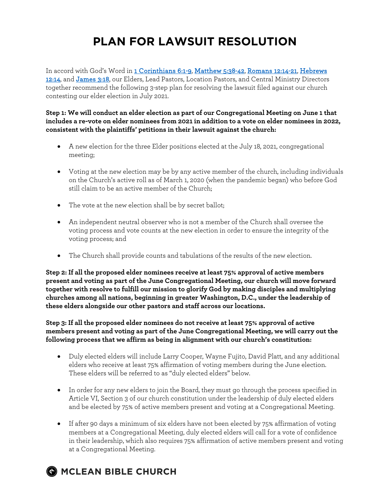## **PLAN FOR LAWSUIT RESOLUTION**

In accord with God's Word in 1 Corinthians 6:1-9, Matthew 5:38-42, Romans 12:14-21, Hebrews 12:14, and James 3:18, our Elders, Lead Pastors, Location Pastors, and Central Ministry Directors together recommend the following 3-step plan for resolving the lawsuit filed against our church contesting our elder election in July 2021.

**Step 1: We will conduct an elder election as part of our Congregational Meeting on June 1 that includes a re-vote on elder nominees from 2021 in addition to a vote on elder nominees in 2022, consistent with the plaintiffs' petitions in their lawsuit against the church:**

- A new election for the three Elder positions elected at the July 18, 2021, congregational meeting;
- Voting at the new election may be by any active member of the church, including individuals on the Church's active roll as of March 1, 2020 (when the pandemic began) who before God still claim to be an active member of the Church;
- The vote at the new election shall be by secret ballot;
- An independent neutral observer who is not a member of the Church shall oversee the voting process and vote counts at the new election in order to ensure the integrity of the voting process; and
- The Church shall provide counts and tabulations of the results of the new election.

**Step 2: If all the proposed elder nominees receive at least 75% approval of active members present and voting as part of the June Congregational Meeting, our church will move forward together with resolve to fulfill our mission to glorify God by making disciples and multiplying churches among all nations, beginning in greater Washington, D.C., under the leadership of these elders alongside our other pastors and staff across our locations.**

**Step 3: If all the proposed elder nominees do not receive at least 75% approval of active members present and voting as part of the June Congregational Meeting, we will carry out the following process that we affirm as being in alignment with our church's constitution:**

- Duly elected elders will include Larry Cooper, Wayne Fujito, David Platt, and any additional elders who receive at least 75% affirmation of voting members during the June election. These elders will be referred to as "duly elected elders" below.
- In order for any new elders to join the Board, they must go through the process specified in Article VI, Section 3 of our church constitution under the leadership of duly elected elders and be elected by 75% of active members present and voting at a Congregational Meeting.
- If after 90 days a minimum of six elders have not been elected by 75% affirmation of voting members at a Congregational Meeting, duly elected elders will call for a vote of confidence in their leadership, which also requires 75% affirmation of active members present and voting at a Congregational Meeting.

## **OMCLEAN BIBLE CHURCH**